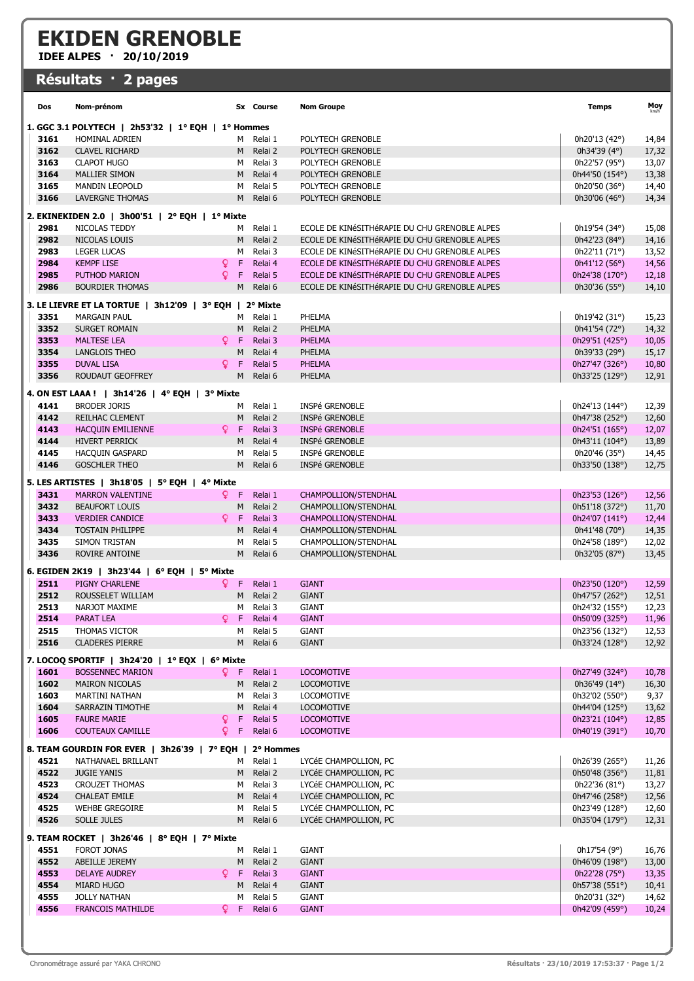## EKIDEN GRENOBLE

IDEE ALPES · 20/10/2019

## Résultats · 2 pages

| Dos                                                                  | Nom-prénom                                              |                   | Sx Course              | <b>Nom Groupe</b>                             | Temps                            | Moy            |  |  |  |  |  |
|----------------------------------------------------------------------|---------------------------------------------------------|-------------------|------------------------|-----------------------------------------------|----------------------------------|----------------|--|--|--|--|--|
| 1. GGC 3.1 POLYTECH   2h53'32   $1^{\circ}$ EQH   $1^{\circ}$ Hommes |                                                         |                   |                        |                                               |                                  |                |  |  |  |  |  |
| 3161                                                                 | <b>HOMINAL ADRIEN</b>                                   | M                 | Relai 1                | POLYTECH GRENOBLE                             | 0h20'13 (42°)                    | 14,84          |  |  |  |  |  |
| 3162                                                                 | <b>CLAVEL RICHARD</b>                                   | M                 | Relai 2                | POLYTECH GRENOBLE                             | 0h34'39 (4°)                     | 17,32          |  |  |  |  |  |
| 3163                                                                 | <b>CLAPOT HUGO</b>                                      | м                 | Relai 3                | POLYTECH GRENOBLE                             | 0h22'57 (95°)                    | 13,07          |  |  |  |  |  |
| 3164                                                                 | <b>MALLIER SIMON</b>                                    | M                 | Relai 4                | POLYTECH GRENOBLE                             | 0h44'50 (154°)                   | 13,38          |  |  |  |  |  |
| 3165                                                                 | <b>MANDIN LEOPOLD</b>                                   | м                 | Relai 5                | POLYTECH GRENOBLE                             | 0h20'50 (36°)                    | 14,40          |  |  |  |  |  |
| 3166                                                                 | <b>LAVERGNE THOMAS</b>                                  | M                 | Relai 6                | POLYTECH GRENOBLE                             | 0h30'06 (46°)                    | 14,34          |  |  |  |  |  |
| 2. EKINEKIDEN 2.0   3h00'51   2° EQH   1° Mixte                      |                                                         |                   |                        |                                               |                                  |                |  |  |  |  |  |
| 2981                                                                 | NICOLAS TEDDY                                           | м                 | Relai 1                | ECOLE DE KINÉSITHÉRAPIE DU CHU GRENOBLE ALPES | 0h19'54 (34°)                    | 15,08          |  |  |  |  |  |
| 2982                                                                 | NICOLAS LOUIS                                           | М                 | Relai 2                | ECOLE DE KINÉSITHÉRAPIE DU CHU GRENOBLE ALPES | 0h42'23 (84°)                    | 14,16          |  |  |  |  |  |
| 2983                                                                 | <b>LEGER LUCAS</b>                                      | М                 | Relai 3                | ECOLE DE KINÉSITHÉRAPIE DU CHU GRENOBLE ALPES | 0h22'11 (71°)                    | 13,52          |  |  |  |  |  |
| 2984                                                                 | <b>KEMPF LISE</b>                                       | Q.<br>F           | Relai 4                | ECOLE DE KINÉSITHÉRAPIE DU CHU GRENOBLE ALPES | 0h41'12 (56°)                    | 14,56          |  |  |  |  |  |
| 2985                                                                 | PUTHOD MARION                                           | Q<br>F            | Relai 5                | ECOLE DE KINÉSITHÉRAPIE DU CHU GRENOBLE ALPES | 0h24'38 (170°)                   | 12,18          |  |  |  |  |  |
| 2986                                                                 | <b>BOURDIER THOMAS</b>                                  | М                 | Relai 6                | ECOLE DE KINÉSITHÉRAPIE DU CHU GRENOBLE ALPES | 0h30'36 (55°)                    | 14,10          |  |  |  |  |  |
|                                                                      |                                                         |                   |                        |                                               |                                  |                |  |  |  |  |  |
| 3. LE LIEVRE ET LA TORTUE   3h12'09   3° EQH   2° Mixte              |                                                         |                   |                        |                                               |                                  |                |  |  |  |  |  |
| 3351                                                                 | <b>MARGAIN PAUL</b>                                     | M                 | Relai 1                | PHELMA                                        | 0h19'42 (31°)                    | 15,23          |  |  |  |  |  |
| 3352                                                                 | <b>SURGET ROMAIN</b>                                    | M                 | Relai 2                | PHELMA                                        | 0h41'54 (72°)                    | 14,32          |  |  |  |  |  |
| 3353                                                                 | <b>MALTESE LEA</b>                                      | Q.<br>Æ           | Relai 3                | <b>PHELMA</b>                                 | 0h29'51 (425°)                   | 10,05          |  |  |  |  |  |
| 3354                                                                 | <b>LANGLOIS THEO</b>                                    | М                 | Relai 4                | PHELMA                                        | 0h39'33 (29°)                    | 15,17          |  |  |  |  |  |
| 3355                                                                 | <b>DUVAL LISA</b>                                       | Q.<br>F           | Relai 5                | <b>PHELMA</b>                                 | 0h27'47 (326°)                   | 10,80          |  |  |  |  |  |
| 3356                                                                 | ROUDAUT GEOFFREY                                        | M                 | Relai 6                | PHELMA                                        | 0h33'25 (129°)                   | 12,91          |  |  |  |  |  |
|                                                                      | 4. ON EST LAAA !   3h14'26   4° EQH   3° Mixte          |                   |                        |                                               |                                  |                |  |  |  |  |  |
| 4141                                                                 | <b>BRODER JORIS</b>                                     | м                 | Relai 1                | <b>INSPé GRENOBLE</b>                         | 0h24'13 (144°)                   | 12,39          |  |  |  |  |  |
| 4142                                                                 | <b>REILHAC CLEMENT</b>                                  | M                 | Relai 2                | INSPé GRENOBLE                                | 0h47'38 (252°)                   | 12,60          |  |  |  |  |  |
| 4143                                                                 | <b>HACQUIN EMILIENNE</b>                                | -F<br>Q.          | Relai 3                | <b>INSPé GRENOBLE</b>                         | 0h24'51 (165°)                   | 12,07          |  |  |  |  |  |
| 4144                                                                 | <b>HIVERT PERRICK</b>                                   | M                 | Relai 4                | INSPé GRENOBLE                                | 0h43'11 (104°)                   | 13,89          |  |  |  |  |  |
| 4145                                                                 | <b>HACQUIN GASPARD</b>                                  | м                 | Relai 5                | <b>INSPé GRENOBLE</b>                         | 0h20'46 (35°)                    | 14,45          |  |  |  |  |  |
| 4146                                                                 | <b>GOSCHLER THEO</b>                                    | M                 | Relai 6                | INSPé GRENOBLE                                | 0h33'50 (138°)                   | 12,75          |  |  |  |  |  |
|                                                                      | 5. LES ARTISTES   3h18'05   5° EQH   4° Mixte           |                   |                        |                                               |                                  |                |  |  |  |  |  |
| 3431                                                                 | <b>MARRON VALENTINE</b>                                 | ♀ F               | Relai 1                | CHAMPOLLION/STENDHAL                          | 0h23'53 (126°)                   | 12,56          |  |  |  |  |  |
| 3432                                                                 | <b>BEAUFORT LOUIS</b>                                   | М                 | Relai 2                | CHAMPOLLION/STENDHAL                          | 0h51'18 (372°)                   | 11,70          |  |  |  |  |  |
| 3433                                                                 | <b>VERDIER CANDICE</b>                                  | Q.<br>-F          | Relai 3                | CHAMPOLLION/STENDHAL                          | 0h24'07 (141°)                   | 12,44          |  |  |  |  |  |
| 3434                                                                 | <b>TOSTAIN PHILIPPE</b>                                 | M                 | Relai 4                | CHAMPOLLION/STENDHAL                          | 0h41'48 (70°)                    | 14,35          |  |  |  |  |  |
| 3435                                                                 | SIMON TRISTAN                                           | м                 | Relai 5                | CHAMPOLLION/STENDHAL                          | 0h24'58 (189°)                   | 12,02          |  |  |  |  |  |
| 3436                                                                 | ROVIRE ANTOINE                                          | M                 | Relai 6                | CHAMPOLLION/STENDHAL                          | 0h32'05 (87°)                    | 13,45          |  |  |  |  |  |
|                                                                      |                                                         |                   |                        |                                               |                                  |                |  |  |  |  |  |
|                                                                      | 6. EGIDEN 2K19   3h23'44   6° EQH   5° Mixte            |                   |                        |                                               |                                  |                |  |  |  |  |  |
| 2511                                                                 | PIGNY CHARLENE                                          | Q F               | Relai 1                | <b>GIANT</b>                                  | 0h23'50 (120°)                   | 12,59          |  |  |  |  |  |
| 2512                                                                 | ROUSSELET WILLIAM                                       | M                 | Relai 2                | <b>GIANT</b>                                  | 0h47'57 (262°)                   | 12,51          |  |  |  |  |  |
| 2513                                                                 | NARJOT MAXIME                                           | м                 | Relai 3                | <b>GIANT</b>                                  | 0h24'32 (155°)                   | 12,23          |  |  |  |  |  |
| 2514                                                                 | PARAT LEA                                               | $Q$ F             | Relai 4                | <b>GIANT</b>                                  | 0h50'09 (325°)<br>0h23'56 (132°) | 11,96          |  |  |  |  |  |
| 2515<br>2516                                                         | THOMAS VICTOR<br><b>CLADERES PIERRE</b>                 |                   | M Relai 5<br>M Relai 6 | <b>GIANT</b><br><b>GIANT</b>                  | 0h33'24 (128°)                   | 12,53<br>12,92 |  |  |  |  |  |
|                                                                      |                                                         |                   |                        |                                               |                                  |                |  |  |  |  |  |
|                                                                      | 7. LOCOQ SPORTIF   3h24'20   1° EQX   6° Mixte          |                   |                        |                                               |                                  |                |  |  |  |  |  |
| 1601                                                                 | <b>BOSSENNEC MARION</b>                                 | QF.               | Relai 1                | <b>LOCOMOTIVE</b>                             | 0h27'49 (324°)                   | 10,78          |  |  |  |  |  |
| 1602                                                                 | <b>MAIRON NICOLAS</b>                                   | M                 | Relai 2                | <b>LOCOMOTIVE</b>                             | 0h36'49 (14°)                    | 16,30          |  |  |  |  |  |
| 1603                                                                 | <b>MARTINI NATHAN</b>                                   | м                 | Relai 3                | <b>LOCOMOTIVE</b>                             | 0h32'02 (550°)                   | 9,37           |  |  |  |  |  |
| 1604                                                                 | SARRAZIN TIMOTHE                                        | M                 | Relai 4                | LOCOMOTIVE                                    | 0h44'04 (125°)                   | 13,62          |  |  |  |  |  |
| 1605                                                                 | <b>FAURE MARIE</b>                                      | Q.<br>F.          | Relai 5                | <b>LOCOMOTIVE</b>                             | 0h23'21 (104°)                   | 12,85          |  |  |  |  |  |
| 1606                                                                 | <b>COUTEAUX CAMILLE</b>                                 | Q.<br>$\mathsf F$ | Relai 6                | <b>LOCOMOTIVE</b>                             | 0h40'19 (391°)                   | 10,70          |  |  |  |  |  |
|                                                                      | 8. TEAM GOURDIN FOR EVER   3h26'39   7° EQH   2° Hommes |                   |                        |                                               |                                  |                |  |  |  |  |  |
| 4521                                                                 | NATHANAEL BRILLANT                                      |                   | M Relai 1              | LYCÉE CHAMPOLLION, PC                         | 0h26'39 (265°)                   | 11,26          |  |  |  |  |  |
| 4522                                                                 | <b>JUGIE YANIS</b>                                      | M                 | Relai 2                | LYCÉE CHAMPOLLION, PC                         | 0h50'48 (356°)                   | 11,81          |  |  |  |  |  |
| 4523                                                                 | <b>CROUZET THOMAS</b>                                   | M                 | Relai 3                | LYCÉE CHAMPOLLION, PC                         | 0h22'36 (81°)                    | 13,27          |  |  |  |  |  |
| 4524                                                                 | <b>CHALEAT EMILE</b>                                    | M                 | Relai 4                | LYCÉE CHAMPOLLION, PC                         | 0h47'46 (258°)                   | 12,56          |  |  |  |  |  |
| 4525                                                                 | <b>WEHBE GREGOIRE</b>                                   | М                 | Relai 5                | LYCÉE CHAMPOLLION, PC                         | 0h23'49 (128°)                   | 12,60          |  |  |  |  |  |
| 4526                                                                 | SOLLE JULES                                             | M                 | Relai 6                | LYCÉE CHAMPOLLION, PC                         | 0h35'04 (179°)                   | 12,31          |  |  |  |  |  |
|                                                                      | 9. TEAM ROCKET   3h26'46   8° EQH   7° Mixte            |                   |                        |                                               |                                  |                |  |  |  |  |  |
| 4551                                                                 | FOROT JONAS                                             | м                 | Relai 1                | <b>GIANT</b>                                  | 0h17'54 (9°)                     | 16,76          |  |  |  |  |  |
| 4552                                                                 | ABEILLE JEREMY                                          | M                 | Relai 2                | <b>GIANT</b>                                  | 0h46'09 (198°)                   | 13,00          |  |  |  |  |  |
| 4553                                                                 | <b>DELAYE AUDREY</b>                                    | ♀ F               | Relai 3                | <b>GIANT</b>                                  | 0h22'28 (75°)                    | 13,35          |  |  |  |  |  |
| 4554                                                                 | MIARD HUGO                                              | M                 | Relai 4                | <b>GIANT</b>                                  | 0h57'38 (551°)                   | 10,41          |  |  |  |  |  |
| 4555                                                                 | JOLLY NATHAN                                            | м                 | Relai 5                | <b>GIANT</b>                                  | 0h20'31 (32°)                    | 14,62          |  |  |  |  |  |
| 4556                                                                 | <b>FRANCOIS MATHILDE</b>                                |                   | Q F Relai 6            | <b>GIANT</b>                                  | 0h42'09 (459°)                   | 10,24          |  |  |  |  |  |